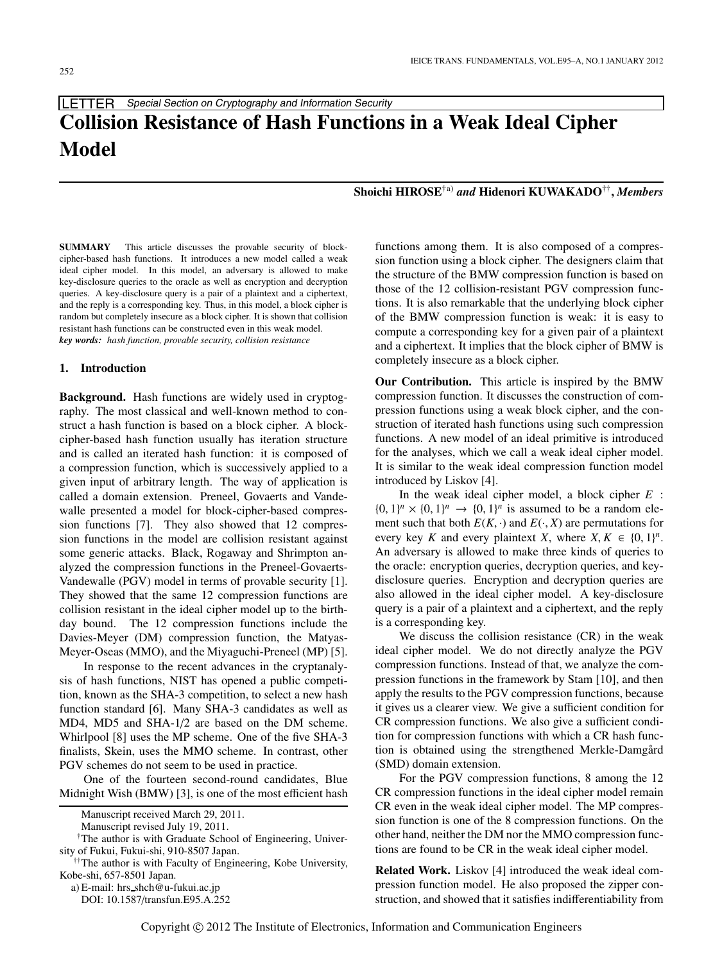LETTER Special Section on Cryptography and Information Security

# **Collision Resistance of Hash Functions in a Weak Ideal Cipher Model**

## **Shoichi HIROSE**†a) *and* **Hidenori KUWAKADO**††**,** *Members*

**SUMMARY** This article discusses the provable security of blockcipher-based hash functions. It introduces a new model called a weak ideal cipher model. In this model, an adversary is allowed to make key-disclosure queries to the oracle as well as encryption and decryption queries. A key-disclosure query is a pair of a plaintext and a ciphertext, and the reply is a corresponding key. Thus, in this model, a block cipher is random but completely insecure as a block cipher. It is shown that collision resistant hash functions can be constructed even in this weak model. *key words: hash function, provable security, collision resistance*

#### **1. Introduction**

**Background.** Hash functions are widely used in cryptography. The most classical and well-known method to construct a hash function is based on a block cipher. A blockcipher-based hash function usually has iteration structure and is called an iterated hash function: it is composed of a compression function, which is successively applied to a given input of arbitrary length. The way of application is called a domain extension. Preneel, Govaerts and Vandewalle presented a model for block-cipher-based compression functions [7]. They also showed that 12 compression functions in the model are collision resistant against some generic attacks. Black, Rogaway and Shrimpton analyzed the compression functions in the Preneel-Govaerts-Vandewalle (PGV) model in terms of provable security [1]. They showed that the same 12 compression functions are collision resistant in the ideal cipher model up to the birthday bound. The 12 compression functions include the Davies-Meyer (DM) compression function, the Matyas-Meyer-Oseas (MMO), and the Miyaguchi-Preneel (MP) [5].

In response to the recent advances in the cryptanalysis of hash functions, NIST has opened a public competition, known as the SHA-3 competition, to select a new hash function standard [6]. Many SHA-3 candidates as well as MD4, MD5 and SHA-1/2 are based on the DM scheme. Whirlpool [8] uses the MP scheme. One of the five SHA-3 finalists, Skein, uses the MMO scheme. In contrast, other PGV schemes do not seem to be used in practice.

One of the fourteen second-round candidates, Blue Midnight Wish (BMW) [3], is one of the most efficient hash

DOI: 10.1587/transfun.E95.A.252

functions among them. It is also composed of a compression function using a block cipher. The designers claim that the structure of the BMW compression function is based on those of the 12 collision-resistant PGV compression functions. It is also remarkable that the underlying block cipher of the BMW compression function is weak: it is easy to compute a corresponding key for a given pair of a plaintext and a ciphertext. It implies that the block cipher of BMW is completely insecure as a block cipher.

**Our Contribution.** This article is inspired by the BMW compression function. It discusses the construction of compression functions using a weak block cipher, and the construction of iterated hash functions using such compression functions. A new model of an ideal primitive is introduced for the analyses, which we call a weak ideal cipher model. It is similar to the weak ideal compression function model introduced by Liskov [4].

In the weak ideal cipher model, a block cipher *E* :  $\{0, 1\}^n \times \{0, 1\}^n \rightarrow \{0, 1\}^n$  is assumed to be a random element such that both  $E(K, \cdot)$  and  $E(\cdot, X)$  are permutations for every key *K* and every plaintext *X*, where  $X, K \in \{0, 1\}^n$ . An adversary is allowed to make three kinds of queries to the oracle: encryption queries, decryption queries, and keydisclosure queries. Encryption and decryption queries are also allowed in the ideal cipher model. A key-disclosure query is a pair of a plaintext and a ciphertext, and the reply is a corresponding key.

We discuss the collision resistance (CR) in the weak ideal cipher model. We do not directly analyze the PGV compression functions. Instead of that, we analyze the compression functions in the framework by Stam [10], and then apply the results to the PGV compression functions, because it gives us a clearer view. We give a sufficient condition for CR compression functions. We also give a sufficient condition for compression functions with which a CR hash function is obtained using the strengthened Merkle-Damgård (SMD) domain extension.

For the PGV compression functions, 8 among the 12 CR compression functions in the ideal cipher model remain CR even in the weak ideal cipher model. The MP compression function is one of the 8 compression functions. On the other hand, neither the DM nor the MMO compression functions are found to be CR in the weak ideal cipher model.

**Related Work.** Liskov [4] introduced the weak ideal compression function model. He also proposed the zipper construction, and showed that it satisfies indifferentiability from

Manuscript received March 29, 2011.

Manuscript revised July 19, 2011.

<sup>†</sup>The author is with Graduate School of Engineering, University of Fukui, Fukui-shi, 910-8507 Japan.

<sup>††</sup>The author is with Faculty of Engineering, Kobe University, Kobe-shi, 657-8501 Japan.

a) E-mail: hrs shch@u-fukui.ac.jp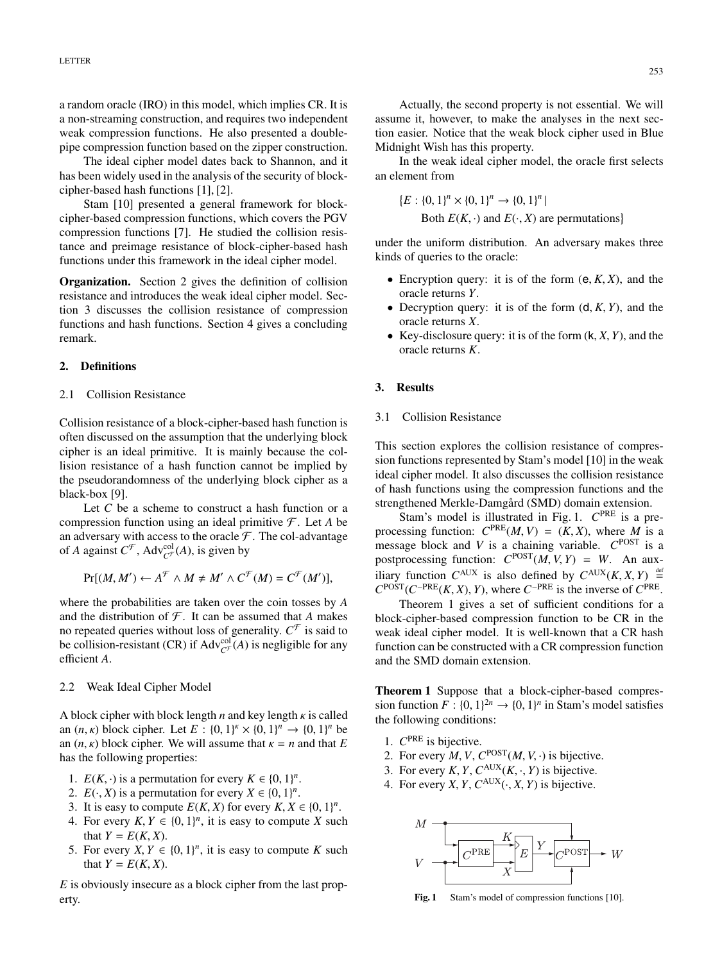a random oracle (IRO) in this model, which implies CR. It is a non-streaming construction, and requires two independent weak compression functions. He also presented a doublepipe compression function based on the zipper construction.

The ideal cipher model dates back to Shannon, and it has been widely used in the analysis of the security of blockcipher-based hash functions [1], [2].

Stam [10] presented a general framework for blockcipher-based compression functions, which covers the PGV compression functions [7]. He studied the collision resistance and preimage resistance of block-cipher-based hash functions under this framework in the ideal cipher model.

**Organization.** Section 2 gives the definition of collision resistance and introduces the weak ideal cipher model. Section 3 discusses the collision resistance of compression functions and hash functions. Section 4 gives a concluding remark.

### **2. Definitions**

#### 2.1 Collision Resistance

Collision resistance of a block-cipher-based hash function is often discussed on the assumption that the underlying block cipher is an ideal primitive. It is mainly because the collision resistance of a hash function cannot be implied by the pseudorandomness of the underlying block cipher as a black-box [9].

Let *C* be a scheme to construct a hash function or a compression function using an ideal primitive  $\mathcal F$ . Let A be an adversary with access to the oracle  $\mathcal F$ . The col-advantage of *A* against  $C^{\mathcal{F}}$ , Adv<sup>col</sup><sub> $C^{\mathcal{F}}$ </sub> (*A*), is given by

$$
\Pr[(M, M') \leftarrow A^{\mathcal{F}} \wedge M \neq M' \wedge C^{\mathcal{F}}(M) = C^{\mathcal{F}}(M')],
$$

where the probabilities are taken over the coin tosses by *A* and the distribution of  $\mathcal F$ . It can be assumed that *A* makes no repeated queries without loss of generality.  $C^{\mathcal{F}}$  is said to be collision-resistant (CR) if  $Adv_{\mathcal{C}^{\mathcal{F}}}(A)$  is negligible for any efficient *A*.

#### 2.2 Weak Ideal Cipher Model

A block cipher with block length *n* and key length κ is called an  $(n, \kappa)$  block cipher. Let  $E : \{0, 1\}^k \times \{0, 1\}^n \to \{0, 1\}^n$  be an  $(n, \kappa)$  block cipher. We will assume that  $\kappa = n$  and that *E* has the following properties:

- 1.  $E(K, \cdot)$  is a permutation for every  $K \in \{0, 1\}^n$ .
- 2.  $E(\cdot, X)$  is a permutation for every  $X \in \{0, 1\}^n$ .
- 3. It is easy to compute  $E(K, X)$  for every  $K, X \in \{0, 1\}^n$ .
- 4. For every  $K, Y \in \{0, 1\}^n$ , it is easy to compute *X* such that  $Y = E(K, X)$ .
- 5. For every  $X, Y \in \{0, 1\}^n$ , it is easy to compute *K* such that  $Y = E(K, X)$ .

*E* is obviously insecure as a block cipher from the last property.

Actually, the second property is not essential. We will assume it, however, to make the analyses in the next section easier. Notice that the weak block cipher used in Blue Midnight Wish has this property.

In the weak ideal cipher model, the oracle first selects an element from

 $\{E: \{0, 1\}^n \times \{0, 1\}^n \rightarrow \{0, 1\}^n \}$ Both  $E(K, \cdot)$  and  $E(\cdot, X)$  are permutations

under the uniform distribution. An adversary makes three kinds of queries to the oracle:

- Encryption query: it is of the form  $(e, K, X)$ , and the oracle returns *Y*.
- Decryption query: it is of the form  $(d, K, Y)$ , and the oracle returns *X*.
- Key-disclosure query: it is of the form (k, *X*, *Y*), and the oracle returns *K*.

#### **3. Results**

#### 3.1 Collision Resistance

This section explores the collision resistance of compression functions represented by Stam's model [10] in the weak ideal cipher model. It also discusses the collision resistance of hash functions using the compression functions and the strengthened Merkle-Damgård (SMD) domain extension.

Stam's model is illustrated in Fig. 1.  $C^{PRE}$  is a preprocessing function:  $C^{PRE}(M, V) = (K, X)$ , where *M* is a message block and *V* is a chaining variable. *C*POST is a postprocessing function:  $C^{POST}(M, V, Y) = W$ . An auxiliary function  $C^{AUX}$  is also defined by  $C^{AUX}(K, X, Y) \stackrel{\text{def}}{=}$  $C^{POST}(C^{-PRE}(K, X), Y)$ , where  $C^{-PRE}$  is the inverse of  $C^{PRE}$ .

Theorem 1 gives a set of sufficient conditions for a block-cipher-based compression function to be CR in the weak ideal cipher model. It is well-known that a CR hash function can be constructed with a CR compression function and the SMD domain extension.

**Theorem 1** Suppose that a block-cipher-based compression function  $F : \{0, 1\}^2 \to \{0, 1\}^n$  in Stam's model satisfies the following conditions:

- 1. *C*PRE is bijective.
- 2. For every *M*, *V*,  $C^{POST}(M, V, \cdot)$  is bijective.
- 3. For every *K*, *Y*,  $C^{AUX}(K, \cdot, Y)$  is bijective.
- 4. For every *X*, *Y*,  $C^{AUX}(\cdot, X, Y)$  is bijective.



Fig. 1 Stam's model of compression functions [10].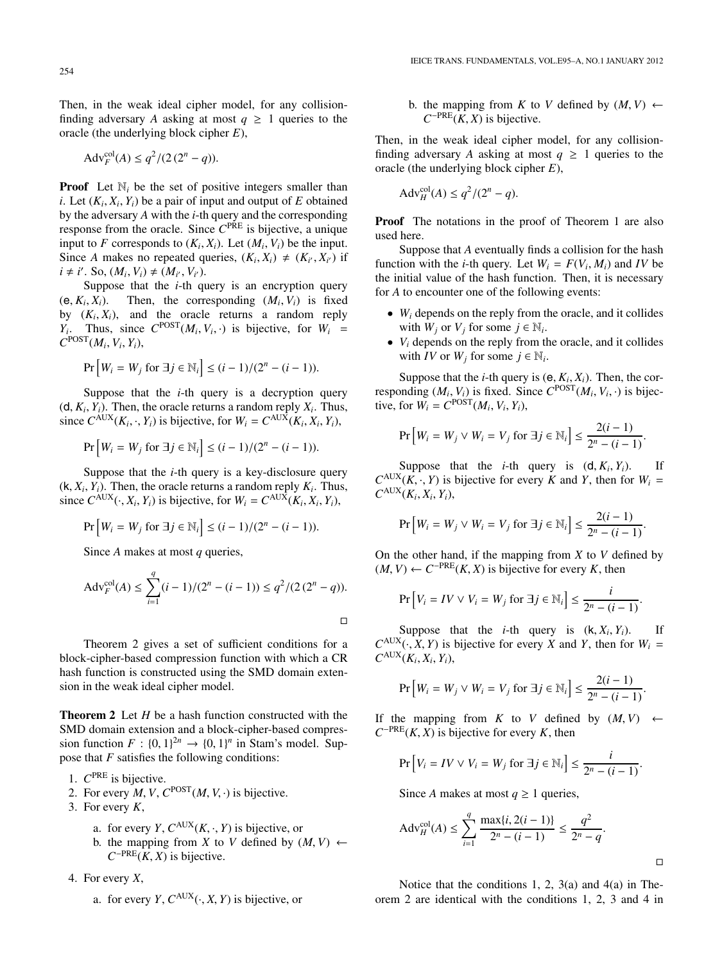Then, in the weak ideal cipher model, for any collisionfinding adversary *A* asking at most  $q \geq 1$  queries to the oracle (the underlying block cipher *E*),

$$
Adv_F^{\text{col}}(A) \le q^2/(2(2^n - q)).
$$

**Proof** Let  $\mathbb{N}_i$  be the set of positive integers smaller than *i*. Let  $(K_i, X_i, Y_i)$  be a pair of input and output of *E* obtained by the adversary *A* with the *i*-th query and the corresponding response from the oracle. Since *C*PRE is bijective, a unique input to *F* corresponds to  $(K_i, X_i)$ . Let  $(M_i, V_i)$  be the input. Since *A* makes no repeated queries,  $(K_i, X_i) \neq (K_{i'}, X_{i'})$  if  $i \neq i'$ . So,  $(M_i, V_i) \neq (M_{i'}, V_{i'})$ .

Suppose that the *i*-th query is an encryption query  $(e, K_i, X_i)$ . Then, the corresponding  $(M_i, V_i)$  is fixed by  $(K_i, X_i)$ , and the oracle returns a random reply *Y<sub>i</sub>*. Thus, since  $C^{POST}(M_i, V_i, \cdot)$  is bijective, for  $W_i =$  $C^{POST}(M_i, V_i, Y_i)$ ,

$$
\Pr\left[W_i = W_j \text{ for } \exists j \in \mathbb{N}_i\right] \le (i - 1)/(2^n - (i - 1)).
$$

Suppose that the  $i$ -th query is a decryption query  $(d, K_i, Y_i)$ . Then, the oracle returns a random reply  $X_i$ . Thus, since  $C^{AUX}(K_i, \cdot, Y_i)$  is bijective, for  $W_i = C^{AUX}(K_i, X_i, Y_i)$ ,

$$
\Pr\left[W_i = W_j \text{ for } \exists j \in \mathbb{N}_i\right] \le (i - 1)/(2^n - (i - 1)).
$$

Suppose that the *i*-th query is a key-disclosure query  $(k, X_i, Y_i)$ . Then, the oracle returns a random reply  $K_i$ . Thus, since  $C^{AUX}(\cdot, X_i, Y_i)$  is bijective, for  $W_i = C^{AUX}(K_i, X_i, Y_i)$ ,

$$
\Pr\left[W_i = W_j \text{ for } \exists j \in \mathbb{N}_i\right] \le (i - 1)/(2^n - (i - 1)).
$$

Since *A* makes at most *q* queries,

$$
Adv_F^{col}(A) \le \sum_{i=1}^{q} (i-1)/(2^n - (i-1)) \le q^2/(2(2^n - q)).
$$

Theorem 2 gives a set of sufficient conditions for a block-cipher-based compression function with which a CR hash function is constructed using the SMD domain extension in the weak ideal cipher model.

**Theorem 2** Let *H* be a hash function constructed with the SMD domain extension and a block-cipher-based compression function  $F : \{0, 1\}^{2n} \to \{0, 1\}^n$  in Stam's model. Suppose that *F* satisfies the following conditions:

1. *C*PRE is bijective.

- 2. For every  $M$ ,  $V$ ,  $C^{POST}(M, V, \cdot)$  is bijective.
- 3. For every *K*,
	- a. for every *Y*,  $C^{AUX}(K, \cdot, Y)$  is bijective, or
	- b. the mapping from *X* to *V* defined by  $(M, V) \leftarrow$  $C^{-PRE}(K, X)$  is bijective.

4. For every *X*,

a. for every *Y*,  $C^{AUX}(\cdot, X, Y)$  is bijective, or

b. the mapping from *K* to *V* defined by  $(M, V) \leftarrow$  $C^{-PRE}(K, X)$  is bijective.

Then, in the weak ideal cipher model, for any collisionfinding adversary *A* asking at most  $q \geq 1$  queries to the oracle (the underlying block cipher *E*),

$$
Adv_H^{col}(A) \le q^2/(2^n - q).
$$

**Proof** The notations in the proof of Theorem 1 are also used here.

Suppose that *A* eventually finds a collision for the hash function with the *i*-th query. Let  $W_i = F(V_i, M_i)$  and *IV* be the initial value of the hash function. Then, it is necessary for *A* to encounter one of the following events:

- *Wi* depends on the reply from the oracle, and it collides with  $W_j$  or  $V_j$  for some  $j \in \mathbb{N}_i$ .
- *Vi* depends on the reply from the oracle, and it collides with *IV* or  $W_i$  for some  $j \in \mathbb{N}_i$ .

Suppose that the *i*-th query is  $(e, K_i, X_i)$ . Then, the corresponding  $(M_i, V_i)$  is fixed. Since  $C^{POST}(M_i, V_i, \cdot)$  is bijective, for  $W_i = C^{POST}(M_i, V_i, Y_i)$ ,

$$
\Pr\left[W_i = W_j \lor W_i = V_j \text{ for } \exists j \in \mathbb{N}_i\right] \le \frac{2(i-1)}{2^n - (i-1)}.
$$

Suppose that the *i*-th query is  $(d, K_i, Y_i)$ . If  $C^{AUX}$ ( $K, \cdot, Y$ ) is bijective for every *K* and *Y*, then for  $W_i =$  $C^{AUX}(K_i, X_i, Y_i)$ ,

$$
\Pr\left[W_i = W_j \vee W_i = V_j \text{ for } \exists j \in \mathbb{N}_i\right] \le \frac{2(i-1)}{2^n - (i-1)}.
$$

On the other hand, if the mapping from *X* to *V* defined by  $(M, V)$  ←  $C^{-PRE}(K, X)$  is bijective for every *K*, then

$$
\Pr[V_i = IV \vee V_i = W_j \text{ for } \exists j \in \mathbb{N}_i] \le \frac{i}{2^n - (i - 1)}.
$$

Suppose that the *i*-th query is  $(k, X_i, Y_i)$ . If  $C^{AUX}(\cdot, \hat{X}, Y)$  is bijective for every *X* and *Y*, then for  $W_i =$  $C^{AUX}(K_i, X_i, Y_i)$ ,

$$
\Pr\left[W_i = W_j \vee W_i = V_j \text{ for } \exists j \in \mathbb{N}_i\right] \le \frac{2(i-1)}{2^n - (i-1)}.
$$

If the mapping from *K* to *V* defined by  $(M, V) \leftarrow$  $C^{-PRE}(K, X)$  is bijective for every *K*, then

$$
\Pr[V_i = IV \vee V_i = W_j \text{ for } \exists j \in \mathbb{N}_i] \le \frac{i}{2^n - (i - 1)}.
$$

Since *A* makes at most  $q \ge 1$  queries,

$$
Adv_H^{col}(A) \le \sum_{i=1}^q \frac{\max\{i, 2(i-1)\}}{2^n - (i-1)} \le \frac{q^2}{2^n - q}.
$$

 $\Box$ 

Notice that the conditions 1, 2, 3(a) and 4(a) in Theorem 2 are identical with the conditions 1, 2, 3 and 4 in